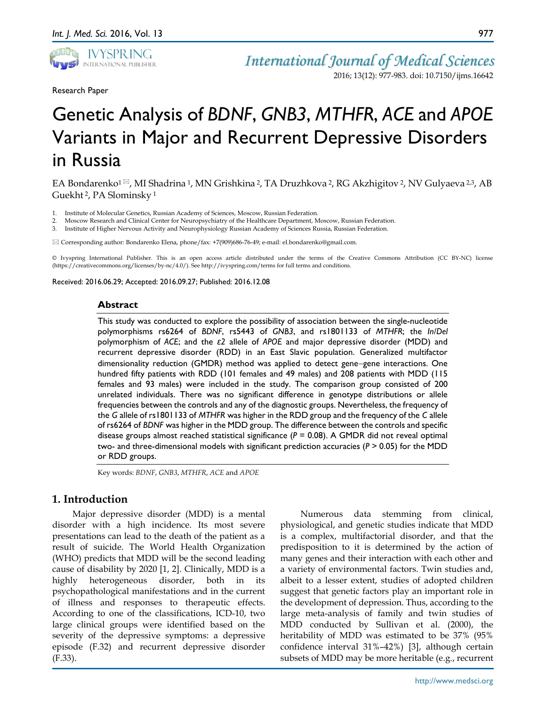

Research Paper

2016; 13(12): 977-983. doi: 10.7150/ijms.16642

977

# Genetic Analysis of *BDNF*, *GNB3*, *MTHFR*, *ACE* and *APOE* Variants in Major and Recurrent Depressive Disorders in Russia

EA Bondarenko<sup>1 $\boxtimes$ </sup>, MI Shadrina <sup>1</sup>, MN Grishkina <sup>2</sup>, TA Druzhkova <sup>2</sup>, RG Akzhigitov <sup>2</sup>, NV Gulyaeva <sup>2,3</sup>, AB Guekht 2, PA Slominsky <sup>1</sup>

1. Institute of Molecular Genetics, Russian Academy of Sciences, Moscow, Russian Federation.

2. Moscow Research and Clinical Center for Neuropsychiatry of the Healthcare Department, Moscow, Russian Federation.

3. Institute of Higher Nervous Activity and Neurophysiology Russian Academy of Sciences Russia, Russian Federation.

Corresponding author: Bondarenko Elena, phone/fax: +7(909)686-76-49; e-mail: el.bondarenko@gmail.com.

© Ivyspring International Publisher. This is an open access article distributed under the terms of the Creative Commons Attribution (CC BY-NC) license (https://creativecommons.org/licenses/by-nc/4.0/). See http://ivyspring.com/terms for full terms and conditions.

Received: 2016.06.29; Accepted: 2016.09.27; Published: 2016.12.08

#### **Abstract**

This study was conducted to explore the possibility of association between the single-nucleotide polymorphisms rs6264 of *BDNF*, rs5443 of *GNB3*, and rs1801133 of *MTHFR*; the *In/Del* polymorphism of *ACE*; and the *ε2* allele of *APOE* and major depressive disorder (MDD) and recurrent depressive disorder (RDD) in an East Slavic population. Generalized multifactor dimensionality reduction (GMDR) method was applied to detect gene−gene interactions. One hundred fifty patients with RDD (101 females and 49 males) and 208 patients with MDD (115 females and 93 males) were included in the study. The comparison group consisted of 200 unrelated individuals. There was no significant difference in genotype distributions or allele frequencies between the controls and any of the diagnostic groups. Nevertheless, the frequency of the *G* allele of rs1801133 of *MTHFR* was higher in the RDD group and the frequency of the *C* allele of rs6264 of *BDNF* was higher in the MDD group. The difference between the controls and specific disease groups almost reached statistical significance (*P* = 0.08). A GMDR did not reveal optimal two- and three-dimensional models with significant prediction accuracies (*P* ˃ 0.05) for the MDD or RDD groups.

Key words: *BDNF*, *GNB3*, *MTHFR*, *ACE* and *APOE*

# **1. Introduction**

Major depressive disorder (MDD) is a mental disorder with a high incidence. Its most severe presentations can lead to the death of the patient as a result of suicide. The World Health Organization (WHO) predicts that MDD will be the second leading cause of disability by 2020 [1, 2]. Clinically, MDD is a highly heterogeneous disorder, both in its psychopathological manifestations and in the current of illness and responses to therapeutic effects. According to one of the classifications, ICD-10, two large clinical groups were identified based on the severity of the depressive symptoms: a depressive episode (F.32) and recurrent depressive disorder (F.33).

Numerous data stemming from clinical, physiological, and genetic studies indicate that MDD is a complex, multifactorial disorder, and that the predisposition to it is determined by the action of many genes and their interaction with each other and a variety of environmental factors. Twin studies and, albeit to a lesser extent, studies of adopted children suggest that genetic factors play an important role in the development of depression. Thus, according to the large meta-analysis of family and twin studies of MDD conducted by Sullivan et al. (2000), the heritability of MDD was estimated to be 37% (95% confidence interval 31%–42%) [3], although certain subsets of MDD may be more heritable (e.g., recurrent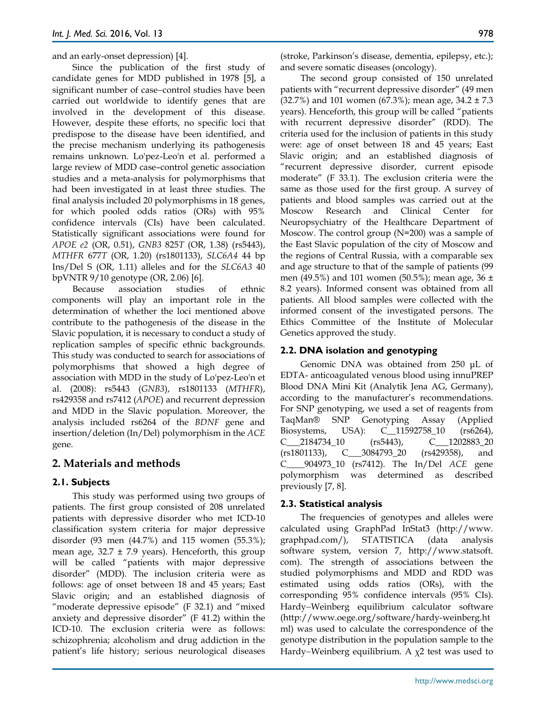and an early-onset depression) [4].

Since the publication of the first study of candidate genes for MDD published in 1978 [5], a significant number of case−control studies have been carried out worldwide to identify genes that are involved in the development of this disease. However, despite these efforts, no specific loci that predispose to the disease have been identified, and the precise mechanism underlying its pathogenesis remains unknown. Lo'pez-Leo'n et al. performed a large review of MDD case–control genetic association studies and a meta-analysis for polymorphisms that had been investigated in at least three studies. The final analysis included 20 polymorphisms in 18 genes, for which pooled odds ratios (ORs) with 95% confidence intervals (CIs) have been calculated. Statistically significant associations were found for *APOE e2* (OR, 0.51), *GNB3* 825*T* (OR, 1.38) (rs5443), *MTHFR* 677*T* (OR, 1.20) (rs1801133), *SLC6A4* 44 bp Ins/Del S (OR, 1.11) alleles and for the *SLC6A3* 40 bpVNTR 9/10 genotype (OR, 2.06) [6].

Because association studies of ethnic components will play an important role in the determination of whether the loci mentioned above contribute to the pathogenesis of the disease in the Slavic population, it is necessary to conduct a study of replication samples of specific ethnic backgrounds. This study was conducted to search for associations of polymorphisms that showed a high degree of association with MDD in the study of Lo'pez-Leo'n et al. (2008): rs5443 (*GNB3*), rs1801133 (*MTHFR*), rs429358 and rs7412 (*APOE*) and recurrent depression and MDD in the Slavic population. Moreover, the analysis included rs6264 of the *BDNF* gene and insertion/deletion (In/Del) polymorphism in the *ACE* gene.

# **2. Materials and methods**

# **2.1. Subjects**

This study was performed using two groups of patients. The first group consisted of 208 unrelated patients with depressive disorder who met ICD-10 classification system criteria for major depressive disorder (93 men (44.7%) and 115 women (55.3%); mean age,  $32.7 \pm 7.9$  years). Henceforth, this group will be called "patients with major depressive disorder" (MDD). The inclusion criteria were as follows: age of onset between 18 and 45 years; East Slavic origin; and an established diagnosis of "moderate depressive episode" (F 32.1) and "mixed anxiety and depressive disorder" (F 41.2) within the ICD-10. The exclusion criteria were as follows: schizophrenia; alcoholism and drug addiction in the patient's life history; serious neurological diseases

(stroke, Parkinson's disease, dementia, epilepsy, etc.); and severe somatic diseases (oncology).

The second group consisted of 150 unrelated patients with "recurrent depressive disorder" (49 men (32.7%) and 101 women (67.3%); mean age, 34.2 ± 7.3 years). Henceforth, this group will be called "patients with recurrent depressive disorder" (RDD). The criteria used for the inclusion of patients in this study were: age of onset between 18 and 45 years; East Slavic origin; and an established diagnosis of "recurrent depressive disorder, current episode moderate" (F 33.1). The exclusion criteria were the same as those used for the first group. A survey of patients and blood samples was carried out at the Moscow Research and Clinical Center for Neuropsychiatry of the Healthcare Department of Moscow. The control group (N=200) was a sample of the East Slavic population of the city of Moscow and the regions of Central Russia, with a comparable sex and age structure to that of the sample of patients (99 men (49.5%) and 101 women (50.5%); mean age, 36  $\pm$ 8.2 years). Informed consent was obtained from all patients. All blood samples were collected with the informed consent of the investigated persons. The Ethics Committee of the Institute of Molecular Genetics approved the study.

# **2.2. DNA isolation and genotyping**

Genomic DNA was obtained from 250 μL of EDTA- anticoagulated venous blood using innuPREP Blood DNA Mini Kit (Analytik Jena AG, Germany), according to the manufacturer's recommendations. For SNP genotyping, we used a set of reagents from TaqMan® SNP Genotyping Assay (Applied Biosystems, USA): C\_\_11592758\_10 (rs6264), C\_\_\_2184734\_10 (rs5443), C\_\_\_1202883\_20 (rs1801133), C\_\_\_3084793\_20 (rs429358), and C\_\_\_\_904973\_10 (rs7412). The In/Del *ACE* gene polymorphism was determined as described previously [7, 8].

# **2.3. Statistical analysis**

The frequencies of genotypes and alleles were calculated using GraphPad InStat3 (http://www. graphpad.com/), STATISTICA (data analysis software system, version 7, http://www.statsoft. com). The strength of associations between the studied polymorphisms and MDD and RDD was estimated using odds ratios (ORs), with the corresponding 95% confidence intervals (95% CIs). Hardy−Weinberg equilibrium calculator software (http://www.oege.org/software/hardy-weinberg.ht ml) was used to calculate the correspondence of the genotype distribution in the population sample to the Hardy−Weinberg equilibrium. A χ2 test was used to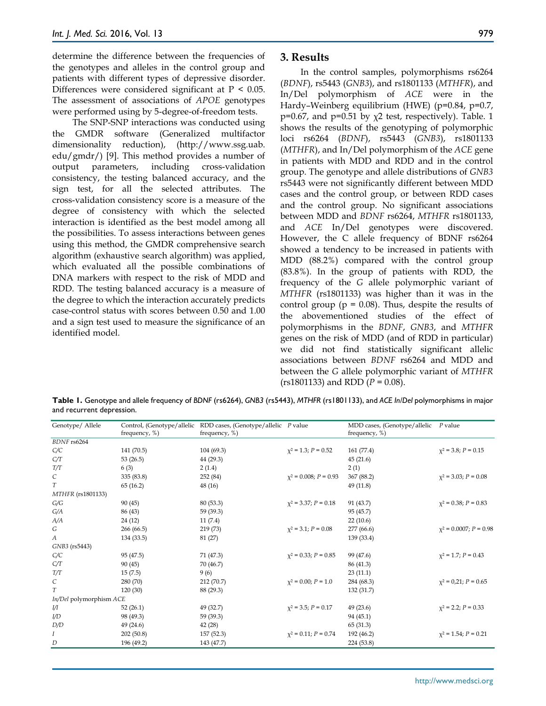determine the difference between the frequencies of the genotypes and alleles in the control group and patients with different types of depressive disorder. Differences were considered significant at  $P < 0.05$ . The assessment of associations of *APOE* genotypes were performed using by 5-degree-of-freedom tests.

The SNP-SNP interactions was conducted using the GMDR software (Generalized multifactor dimensionality reduction), (http://www.ssg.uab. edu/gmdr/) [9]. This method provides a number of output parameters, including cross-validation consistency, the testing balanced accuracy, and the sign test, for all the selected attributes. The cross-validation consistency score is a measure of the degree of consistency with which the selected interaction is identified as the best model among all the possibilities. To assess interactions between genes using this method, the GMDR comprehensive search algorithm (exhaustive search algorithm) was applied, which evaluated all the possible combinations of DNA markers with respect to the risk of MDD and RDD. The testing balanced accuracy is a measure of the degree to which the interaction accurately predicts case-control status with scores between 0.50 and 1.00 and a sign test used to measure the significance of an identified model.

### **3. Results**

In the control samples, polymorphisms rs6264 (*BDNF*), rs5443 (*GNB3*), and rs1801133 (*MTHFR*), and In/Del polymorphism of *ACE* were in the Hardy–Weinberg equilibrium (HWE) (p=0.84, p=0.7, p=0.67, and p=0.51 by  $\chi$ 2 test, respectively). Table. 1 shows the results of the genotyping of polymorphic loci rs6264 (*BDNF*), rs5443 (*GNB3*), rs1801133 (*MTHFR*), and In/Del polymorphism of the *ACE* gene in patients with MDD and RDD and in the control group. The genotype and allele distributions of *GNB3* rs5443 were not significantly different between MDD cases and the control group, or between RDD cases and the control group. No significant associations between MDD and *BDNF* rs6264, *MTHFR* rs1801133, and *ACE* In/Del genotypes were discovered. However, the C allele frequency of BDNF rs6264 showed a tendency to be increased in patients with MDD (88.2%) compared with the control group (83.8%). In the group of patients with RDD, the frequency of the *G* allele polymorphic variant of *MTHFR* (rs1801133) was higher than it was in the control group ( $p = 0.08$ ). Thus, despite the results of the abovementioned studies of the effect of polymorphisms in the *BDNF*, *GNB3*, and *MTHFR* genes on the risk of MDD (and of RDD in particular) we did not find statistically significant allelic associations between *BDNF* rs6264 and MDD and between the *G* allele polymorphic variant of *MTHFR*  (rs1801133) and RDD (*P* = 0.08).

**Table 1.** Genotype and allele frequency of *BDNF* (rs6264), *GNB3* (rs5443), *MTHFR* (rs1801133), and *ACE In/Del* polymorphisms in major and recurrent depression.

| Genotype/ Allele            |               | Control, (Genotype/allelic RDD cases, (Genotype/allelic P value |                            | MDD cases, (Genotype/allelic | P value                     |
|-----------------------------|---------------|-----------------------------------------------------------------|----------------------------|------------------------------|-----------------------------|
|                             | frequency, %) | frequency, %)                                                   |                            | frequency, %)                |                             |
| BDNF rs6264                 |               |                                                                 |                            |                              |                             |
| C/C                         | 141 (70.5)    | 104(69.3)                                                       | $\chi^2$ = 1.3; P = 0.52   | 161 (77.4)                   | $\chi^2$ = 3.8; P = 0.15    |
| C/T                         | 53(26.5)      | 44 (29.3)                                                       |                            | 45(21.6)                     |                             |
| T/T                         | 6(3)          | 2(1.4)                                                          |                            | 2(1)                         |                             |
| $\mathcal{C}$               | 335 (83.8)    | 252 (84)                                                        | $\chi^2$ = 0.008; P = 0.93 | 367 (88.2)                   | $x^2$ = 3.03; P = 0.08      |
| T                           | 65 (16.2)     | 48 (16)                                                         |                            | 49 (11.8)                    |                             |
| MTHFR (rs1801133)           |               |                                                                 |                            |                              |                             |
| G/G                         | 90(45)        | 80(53.3)                                                        | $\chi^2$ = 3.37; P = 0.18  | 91 (43.7)                    | $\chi^2$ = 0.38; P = 0.83   |
| G/A                         | 86 (43)       | 59 (39.3)                                                       |                            | 95 (45.7)                    |                             |
| A/A                         | 24 (12)       | 11(7.4)                                                         |                            | 22(10.6)                     |                             |
| G                           | 266 (66.5)    | 219 (73)                                                        | $\chi^2$ = 3.1; $P = 0.08$ | 277 (66.6)                   | $\chi^2$ = 0.0007; P = 0.98 |
| А                           | 134 (33.5)    | 81 (27)                                                         |                            | 139 (33.4)                   |                             |
| GNB3 (rs5443)               |               |                                                                 |                            |                              |                             |
| C/C                         | 95 (47.5)     | 71 (47.3)                                                       | $\chi^2$ = 0.33; P = 0.85  | 99 (47.6)                    | $x^2 = 1.7; P = 0.43$       |
| C/T                         | 90(45)        | 70 (46.7)                                                       |                            | 86 (41.3)                    |                             |
| T/T                         | 15(7.5)       | 9(6)                                                            |                            | 23(11.1)                     |                             |
| $\mathcal{C}_{\mathcal{C}}$ | 280 (70)      | 212 (70.7)                                                      | $\chi^2$ = 0.00; P = 1.0   | 284 (68.3)                   | $x^2 = 0.21$ ; $P = 0.65$   |
| T                           | 120 (30)      | 88 (29.3)                                                       |                            | 132 (31.7)                   |                             |
| In/Del polymorphism ACE     |               |                                                                 |                            |                              |                             |
| IJ                          | 52(26.1)      | 49 (32.7)                                                       | $\chi^2$ = 3.5; P = 0.17   | 49(23.6)                     | $x^2$ = 2.2; $P = 0.33$     |
| I/D                         | 98 (49.3)     | 59 (39.3)                                                       |                            | 94 (45.1)                    |                             |
| D/D                         | 49 (24.6)     | 42 (28)                                                         |                            | 65 (31.3)                    |                             |
| Ι                           | 202(50.8)     | 157 (52.3)                                                      | $\chi^2$ = 0.11; P = 0.74  | 192 (46.2)                   | $x^2 = 1.54$ ; $P = 0.21$   |
| D                           | 196 (49.2)    | 143 (47.7)                                                      |                            | 224 (53.8)                   |                             |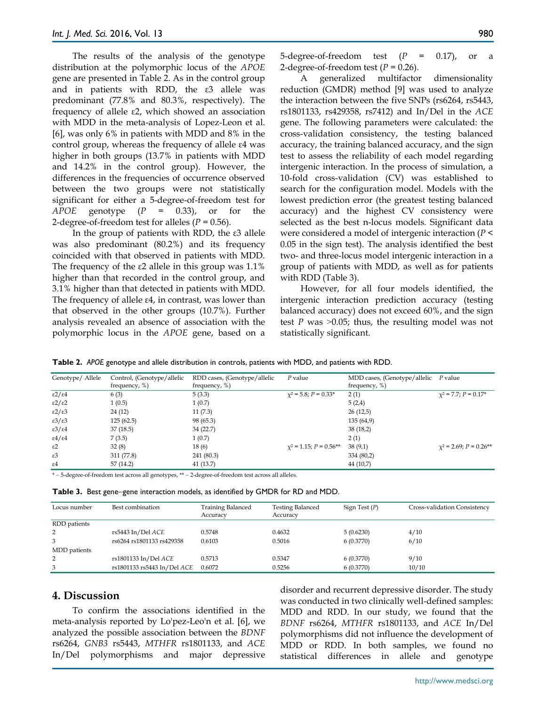The results of the analysis of the genotype distribution at the polymorphic locus of the *APOE* gene are presented in Table 2. As in the control group and in patients with RDD, the ε3 allele was predominant (77.8% and 80.3%, respectively). The frequency of allele ε2, which showed an association with MDD in the meta-analysis of Lopez-Leon et al. [6], was only 6% in patients with MDD and 8% in the control group, whereas the frequency of allele ε4 was higher in both groups (13.7% in patients with MDD and 14.2% in the control group). However, the differences in the frequencies of occurrence observed between the two groups were not statistically significant for either a 5-degree-of-freedom test for *APOE* genotype (*P* = 0.33), or for the 2-degree-of-freedom test for alleles (*P* = 0.56).

In the group of patients with RDD, the ε3 allele was also predominant (80.2%) and its frequency coincided with that observed in patients with MDD. The frequency of the ε2 allele in this group was 1.1% higher than that recorded in the control group, and 3.1% higher than that detected in patients with MDD. The frequency of allele ε4, in contrast, was lower than that observed in the other groups (10.7%). Further analysis revealed an absence of association with the polymorphic locus in the *APOE* gene, based on a 5-degree-of-freedom test  $(P = 0.17)$ , or a 2-degree-of-freedom test  $(P = 0.26)$ .

A generalized multifactor dimensionality reduction (GMDR) method [9] was used to analyze the interaction between the five SNPs (rs6264, rs5443, rs1801133, rs429358, rs7412) and In/Del in the *ACE* gene. The following parameters were calculated: the cross-validation consistency, the testing balanced accuracy, the training balanced accuracy, and the sign test to assess the reliability of each model regarding intergenic interaction. In the process of simulation, a 10-fold cross-validation (CV) was established to search for the configuration model. Models with the lowest prediction error (the greatest testing balanced accuracy) and the highest CV consistency were selected as the best n-locus models. Significant data were considered a model of intergenic interaction (*P* < 0.05 in the sign test). The analysis identified the best two- and three-locus model intergenic interaction in a group of patients with MDD, as well as for patients with RDD (Table 3).

However, for all four models identified, the intergenic interaction prediction accuracy (testing balanced accuracy) does not exceed 60%, and the sign test *P* was  $>0.05$ ; thus, the resulting model was not statistically significant.

**Table 2.** *APOE* genotype and allele distribution in controls, patients with MDD, and patients with RDD.

| Genotype/ Allele           | Control, (Genotype/allelic | RDD cases, (Genotype/allelic | P value                     | MDD cases, (Genotype/allelic P value |                            |
|----------------------------|----------------------------|------------------------------|-----------------------------|--------------------------------------|----------------------------|
|                            | frequency, $%$ )           | frequency, $%$ )             |                             | frequency, %)                        |                            |
| ε2/ε4                      | 6(3)                       | 5(3.3)                       | $x^2$ = 5.8; P = 0.33*      | 2(1)                                 | $x^2 = 7.7$ ; $P = 0.17$ * |
| ε2/ε2                      | 1(0.5)                     | 1(0.7)                       |                             | 5(2,4)                               |                            |
| ε2/ε3                      | 24(12)                     | 11(7.3)                      |                             | 26(12,5)                             |                            |
| $\epsilon$ 3/ $\epsilon$ 3 | 125(62.5)                  | 98 (65.3)                    |                             | 135(64,9)                            |                            |
| $\epsilon$ 3/ $\epsilon$ 4 | 37(18.5)                   | 34(22.7)                     |                             | 38(18,2)                             |                            |
| $\epsilon$ 4/ $\epsilon$ 4 | 7(3.5)                     | 1(0.7)                       |                             | 2(1)                                 |                            |
| $\varepsilon$ 2            | 32(8)                      | 18(6)                        | $x^2 = 1.15$ ; $P = 0.56**$ | 38(9,1)                              | $x^2$ = 2.69; $P = 0.26**$ |
| $\varepsilon$ 3            | 311 (77.8)                 | 241 (80.3)                   |                             | 334 (80,2)                           |                            |
| $\varepsilon$ 4            | 57(14.2)                   | 41(13.7)                     |                             | 44 (10,7)                            |                            |

\* − 5-degree-of-freedom test across all genotypes, \*\* − 2-degree-of-freedom test across all alleles.

| Locus number | Best combination            | <b>Training Balanced</b><br>Accuracy | <b>Testing Balanced</b><br>Accuracy | Sign Test $(P)$ | Cross-validation Consistency |
|--------------|-----------------------------|--------------------------------------|-------------------------------------|-----------------|------------------------------|
| RDD patients |                             |                                      |                                     |                 |                              |
| 2            | rs5443 In/Del ACE           | 0.5748                               | 0.4632                              | 5(0.6230)       | 4/10                         |
| 3            | rs6264 rs1801133 rs429358   | 0.6103                               | 0.5016                              | 6(0.3770)       | 6/10                         |
| MDD patients |                             |                                      |                                     |                 |                              |
| 2            | rs1801133 In/Del ACE        | 0.5713                               | 0.5347                              | 6(0.3770)       | 9/10                         |
| 3            | rs1801133 rs5443 In/Del ACE | 0.6072                               | 0.5256                              | 6(0.3770)       | 10/10                        |

## **4. Discussion**

To confirm the associations identified in the meta-analysis reported by Lo'pez-Leo'n et al. [6], we analyzed the possible association between the *BDNF* rs6264, *GNB3* rs5443, *MTHFR* rs1801133, and *ACE* In/Del polymorphisms and major depressive disorder and recurrent depressive disorder. The study was conducted in two clinically well-defined samples: MDD and RDD. In our study, we found that the *BDNF* rs6264, *MTHFR* rs1801133, and *ACE* In/Del polymorphisms did not influence the development of MDD or RDD. In both samples, we found no statistical differences in allele and genotype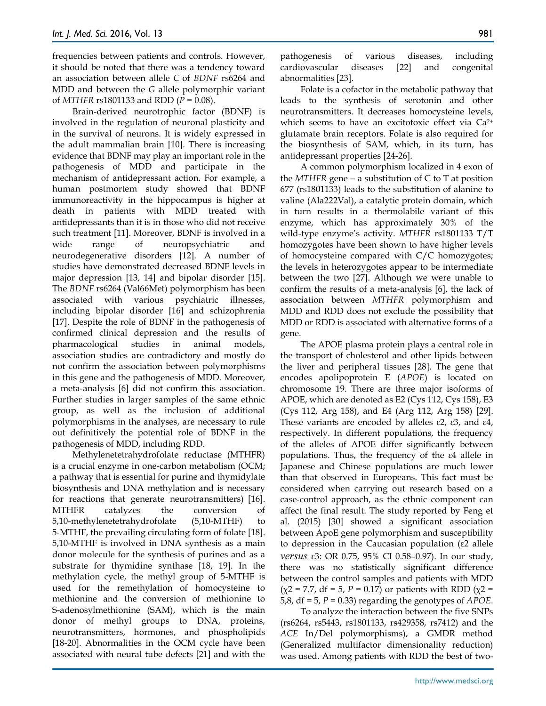frequencies between patients and controls. However, it should be noted that there was a tendency toward an association between allele *C* of *BDNF* rs6264 and MDD and between the *G* allele polymorphic variant of *MTHFR* rs1801133 and RDD (*P* = 0.08).

Brain-derived neurotrophic factor (BDNF) is involved in the regulation of neuronal plasticity and in the survival of neurons. It is widely expressed in the adult mammalian brain [10]. There is increasing evidence that BDNF may play an important role in the pathogenesis of MDD and participate in the mechanism of antidepressant action. For example, a human postmortem study showed that BDNF immunoreactivity in the hippocampus is higher at death in patients with MDD treated with antidepressants than it is in those who did not receive such treatment [11]. Moreover, BDNF is involved in a wide range of neuropsychiatric and neurodegenerative disorders [12]. A number of studies have demonstrated decreased BDNF levels in major depression [13, 14] and bipolar disorder [15]. The *BDNF* rs6264 (Val66Met) polymorphism has been associated with various psychiatric illnesses, including bipolar disorder [16] and schizophrenia [17]. Despite the role of BDNF in the pathogenesis of confirmed clinical depression and the results of pharmacological studies in animal models, association studies are contradictory and mostly do not confirm the association between polymorphisms in this gene and the pathogenesis of MDD. Moreover, a meta-analysis [6] did not confirm this association. Further studies in larger samples of the same ethnic group, as well as the inclusion of additional polymorphisms in the analyses, are necessary to rule out definitively the potential role of BDNF in the pathogenesis of MDD, including RDD.

Methylenetetrahydrofolate reductase (MTHFR) is a crucial enzyme in one-carbon metabolism (OCM; a pathway that is essential for purine and thymidylate biosynthesis and DNA methylation and is necessary for reactions that generate neurotransmitters) [16]. MTHFR catalyzes the conversion of 5,10-methylenetetrahydrofolate (5,10-MTHF) to 5-MTHF, the prevailing circulating form of folate [18]. 5,10-MTHF is involved in DNA synthesis as a main donor molecule for the synthesis of purines and as a substrate for thymidine synthase [18, 19]. In the methylation cycle, the methyl group of 5-MTHF is used for the remethylation of homocysteine to methionine and the conversion of methionine to S-adenosylmethionine (SAM), which is the main donor of methyl groups to DNA, proteins, neurotransmitters, hormones, and phospholipids [18-20]. Abnormalities in the OCM cycle have been associated with neural tube defects [21] and with the

pathogenesis of various diseases, including cardiovascular diseases [22] and congenital abnormalities [23].

Folate is a cofactor in the metabolic pathway that leads to the synthesis of serotonin and other neurotransmitters. It decreases homocysteine levels, which seems to have an excitotoxic effect via Ca<sup>2+</sup> glutamate brain receptors. Folate is also required for the biosynthesis of SAM, which, in its turn, has antidepressant properties [24-26].

A common polymorphism localized in 4 exon of the *MTHFR* gene − a substitution of C to T at position 677 (rs1801133) leads to the substitution of alanine to valine (Ala222Val), a catalytic protein domain, which in turn results in a thermolabile variant of this enzyme, which has approximately 30% of the wild-type enzyme's activity. *MTHFR* rs1801133 T/T homozygotes have been shown to have higher levels of homocysteine compared with C/C homozygotes; the levels in heterozygotes appear to be intermediate between the two [27]. Although we were unable to confirm the results of a meta-analysis [6], the lack of association between *MTHFR* polymorphism and MDD and RDD does not exclude the possibility that MDD or RDD is associated with alternative forms of a gene.

The APOE plasma protein plays a central role in the transport of cholesterol and other lipids between the liver and peripheral tissues [28]. The gene that encodes apolipoprotein E (*APOE*) is located on chromosome 19. There are three major isoforms of APOE, which are denoted as E2 (Cys 112, Cys 158), E3 (Cys 112, Arg 158), and E4 (Arg 112, Arg 158) [29]. These variants are encoded by alleles  $ε2$ ,  $ε3$ , and  $ε4$ , respectively. In different populations, the frequency of the alleles of APOE differ significantly between populations. Thus, the frequency of the ε4 allele in Japanese and Chinese populations are much lower than that observed in Europeans. This fact must be considered when carrying out research based on a case-control approach, as the ethnic component can affect the final result. The study reported by Feng et al. (2015) [30] showed a significant association between ApoE gene polymorphism and susceptibility to depression in the Caucasian population (ε2 allele *versus* ε3: OR 0.75, 95% CI 0.58–0.97). In our study, there was no statistically significant difference between the control samples and patients with MDD  $(\chi^2 = 7.7, df = 5, P = 0.17)$  or patients with RDD  $(\chi^2 = 7.7, df = 5, P = 0.17)$ 5,8, df = 5, *P* = 0.33) regarding the genotypes of *APOE*.

To analyze the interaction between the five SNPs (rs6264, rs5443, rs1801133, rs429358, rs7412) and the *ACE* In/Del polymorphisms), a GMDR method (Generalized multifactor dimensionality reduction) was used. Among patients with RDD the best of two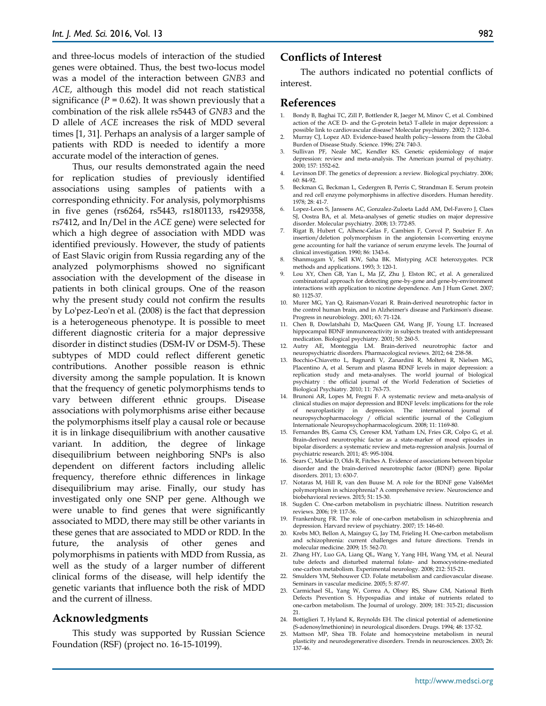and three-locus models of interaction of the studied genes were obtained. Thus, the best two-locus model was a model of the interaction between *GNB3* and *ACE*, although this model did not reach statistical significance  $(P = 0.62)$ . It was shown previously that a combination of the risk allele rs5443 of *GNB3* and the D allele of *ACE* increases the risk of MDD several times [1, 31]. Perhaps an analysis of a larger sample of patients with RDD is needed to identify a more accurate model of the interaction of genes.

Thus, our results demonstrated again the need for replication studies of previously identified associations using samples of patients with a corresponding ethnicity. For analysis, polymorphisms in five genes (rs6264, rs5443, rs1801133, rs429358, rs7412, and In/Del in the *ACE* gene) were selected for which a high degree of association with MDD was identified previously. However, the study of patients of East Slavic origin from Russia regarding any of the analyzed polymorphisms showed no significant association with the development of the disease in patients in both clinical groups. One of the reason why the present study could not confirm the results by Lo'pez-Leo'n et al. (2008) is the fact that depression is a heterogeneous phenotype. It is possible to meet different diagnostic criteria for a major depressive disorder in distinct studies (DSM-IV or DSM-5). These subtypes of MDD could reflect different genetic contributions. Another possible reason is ethnic diversity among the sample population. It is known that the frequency of genetic polymorphisms tends to vary between different ethnic groups. Disease associations with polymorphisms arise either because the polymorphisms itself play a causal role or because it is in linkage disequilibrium with another causative variant. In addition, the degree of linkage disequilibrium between neighboring SNPs is also dependent on different factors including allelic frequency, therefore ethnic differences in linkage disequilibrium may arise. Finally, our study has investigated only one SNP per gene. Although we were unable to find genes that were significantly associated to MDD, there may still be other variants in these genes that are associated to MDD or RDD. In the future, the analysis of other genes and polymorphisms in patients with MDD from Russia, as well as the study of a larger number of different clinical forms of the disease, will help identify the genetic variants that influence both the risk of MDD and the current of illness.

### **Acknowledgments**

This study was supported by Russian Science Foundation (RSF) (project no. 16-15-10199).

## **Conflicts of Interest**

The authors indicated no potential conflicts of interest.

# **References**

- 1. Bondy B, Baghai TC, Zill P, Bottlender R, Jaeger M, Minov C, et al. Combined action of the ACE D- and the G-protein beta3 T-allele in major depression: a possible link to cardiovascular disease? Molecular psychiatry. 2002; 7: 1120-6.
- 2. Murray CJ, Lopez AD. Evidence-based health policy--lessons from the Global Burden of Disease Study. Science. 1996; 274: 740-3.
- 3. Sullivan PF, Neale MC, Kendler KS. Genetic epidemiology of major depression: review and meta-analysis. The American journal of psychiatry. 2000; 157: 1552-62.
- 4. Levinson DF. The genetics of depression: a review. Biological psychiatry. 2006; 60: 84-92.
- 5. Beckman G, Beckman L, Cedergren B, Perris C, Strandman E. Serum protein and red cell enzyme polymorphisms in affective disorders. Human heredity. 1978; 28: 41-7.
- 6. Lopez-Leon S, Janssens AC, Gonzalez-Zuloeta Ladd AM, Del-Favero J, Claes SJ, Oostra BA, et al. Meta-analyses of genetic studies on major depressive disorder. Molecular psychiatry. 2008; 13: 772-85.
- 7. Rigat B, Hubert C, Alhenc-Gelas F, Cambien F, Corvol P, Soubrier F. An insertion/deletion polymorphism in the angiotensin I-converting enzyme gene accounting for half the variance of serum enzyme levels. The Journal of clinical investigation. 1990; 86: 1343-6.
- 8. Shanmugam  $\breve{V}$ , Sell KW, Saha BK. Mistyping ACE heterozygotes. PCR methods and applications. 1993; 3: 120-1.
- 9. Lou XY, Chen GB, Yan L, Ma JZ, Zhu J, Elston RC, et al. A generalized combinatorial approach for detecting gene-by-gene and gene-by-environment interactions with application to nicotine dependence. Am J Hum Genet. 2007; 80: 1125-37.
- 10. Murer MG, Yan Q, Raisman-Vozari R. Brain-derived neurotrophic factor in the control human brain, and in Alzheimer's disease and Parkinson's disease. Progress in neurobiology. 2001; 63: 71-124.
- 11. Chen B, Dowlatshahi D, MacQueen GM, Wang JF, Young LT. Increased hippocampal BDNF immunoreactivity in subjects treated with antidepressant medication. Biological psychiatry. 2001; 50: 260-5.
- 12. Autry AE, Monteggia LM. Brain-derived neurotrophic factor and neuropsychiatric disorders. Pharmacological reviews. 2012; 64: 238-58.
- 13. Bocchio-Chiavetto L, Bagnardi V, Zanardini R, Molteni R, Nielsen MG, Placentino A, et al. Serum and plasma BDNF levels in major depression: a replication study and meta-analyses. The world journal of biological psychiatry : the official journal of the World Federation of Societies of Biological Psychiatry. 2010; 11: 763-73.
- 14. Brunoni AR, Lopes M, Fregni F. A systematic review and meta-analysis of clinical studies on major depression and BDNF levels: implications for the role of neuroplasticity in depression. The international journal of neuropsychopharmacology / official scientific journal of the Collegium Internationale Neuropsychopharmacologicum. 2008; 11: 1169-80.
- 15. Fernandes BS, Gama CS, Cereser KM, Yatham LN, Fries GR, Colpo G, et al. Brain-derived neurotrophic factor as a state-marker of mood episodes in bipolar disorders: a systematic review and meta-regression analysis. Journal of psychiatric research. 2011; 45: 995-1004.
- 16. Sears C, Markie D, Olds R, Fitches A. Evidence of associations between bipolar disorder and the brain-derived neurotrophic factor (BDNF) gene. Bipolar disorders. 2011; 13: 630-7.
- 17. Notaras M, Hill R, van den Buuse M. A role for the BDNF gene Val66Met polymorphism in schizophrenia? A comprehensive review. Neuroscience and biobehavioral reviews. 2015; 51: 15-30.
- 18. Sugden C. One-carbon metabolism in psychiatric illness. Nutrition research reviews. 2006; 19: 117-36.
- 19. Frankenburg FR. The role of one-carbon metabolism in schizophrenia and depression. Harvard review of psychiatry. 2007; 15: 146-60.
- 20. Krebs MO, Bellon A, Mainguy G, Jay TM, Frieling H. One-carbon metabolism and schizophrenia: current challenges and future directions. Trends in molecular medicine. 2009; 15: 562-70.
- 21. Zhang HY, Luo GA, Liang QL, Wang Y, Yang HH, Wang YM, et al. Neural tube defects and disturbed maternal folate- and homocysteine-mediated one-carbon metabolism. Experimental neurology. 2008; 212: 515-21.
- 22. Smulders YM, Stehouwer CD. Folate metabolism and cardiovascular disease. Seminars in vascular medicine. 2005; 5: 87-97.
- 23. Carmichael SL, Yang W, Correa A, Olney RS, Shaw GM, National Birth Defects Prevention S. Hypospadias and intake of nutrients related to one-carbon metabolism. The Journal of urology. 2009; 181: 315-21; discussion 21.
- 24. Bottiglieri T, Hyland K, Reynolds EH. The clinical potential of ademetionine (S-adenosylmethionine) in neurological disorders. Drugs. 1994; 48: 137-52.
- 25. Mattson MP, Shea TB. Folate and homocysteine metabolism in neural plasticity and neurodegenerative disorders. Trends in neurosciences. 2003; 26: 137-46.